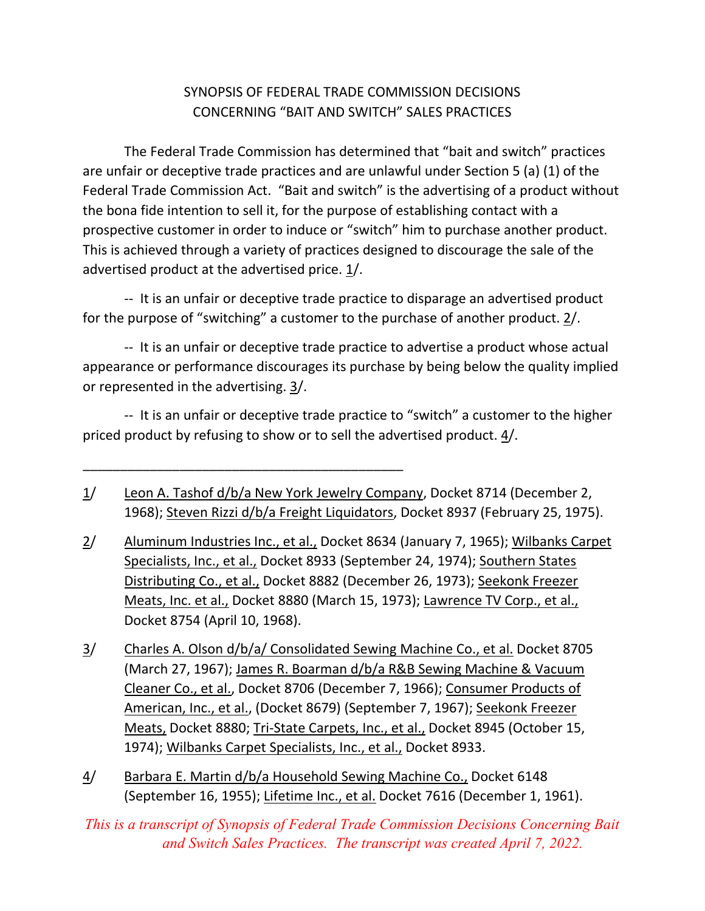## SYNOPSIS OF FEDERAL TRADE COMMISSION DECISIONS CONCERNING "BAIT AND SWITCH" SALES PRACTICES

 The Federal Trade Commission has determined that "bait and switch" practices are unfair or deceptive trade practices and are unlawful under Section 5 (a) (1) of the Federal Trade Commission Act. "Bait and switch" is the advertising of a product without the bona fide intention to sell it, for the purpose of establishing contact with a prospective customer in order to induce or "switch" him to purchase another product. This is achieved through a variety of practices designed to discourage the sale of the advertised product at the advertised price.  $\underline{1}/$ .

 ‐‐ It is an unfair or deceptive trade practice to disparage an advertised product for the purpose of "switching" a customer to the purchase of another product.  $2/$ .

 ‐‐ It is an unfair or deceptive trade practice to advertise a product whose actual appearance or performance discourages its purchase by being below the quality implied or represented in the advertising. 3/.

 ‐‐ It is an unfair or deceptive trade practice to "switch" a customer to the higher priced product by refusing to show or to sell the advertised product.  $4/$ .

1/ Leon A. Tashof d/b/a New York Jewelry Company, Docket 8714 (December 2, 1968); Steven Rizzi d/b/a Freight Liquidators, Docket 8937 (February 25, 1975).

\_\_\_\_\_\_\_\_\_\_\_\_\_\_\_\_\_\_\_\_\_\_\_\_\_\_\_\_\_\_\_\_\_\_\_\_\_\_\_\_\_\_\_

- 2/ Aluminum Industries Inc., et al., Docket 8634 (January 7, 1965); Wilbanks Carpet Specialists, Inc., et al., Docket 8933 (September 24, 1974); Southern States Distributing Co., et al., Docket 8882 (December 26, 1973); Seekonk Freezer Meats, Inc. et al., Docket 8880 (March 15, 1973); Lawrence TV Corp., et al., Docket 8754 (April 10, 1968).
- 3/ Charles A. Olson d/b/a/ Consolidated Sewing Machine Co., et al. Docket 8705 (March 27, 1967); James R. Boarman d/b/a R&B Sewing Machine & Vacuum Cleaner Co., et al., Docket 8706 (December 7, 1966); Consumer Products of American, Inc., et al., (Docket 8679) (September 7, 1967); Seekonk Freezer Meats, Docket 8880; Tri-State Carpets, Inc., et al., Docket 8945 (October 15, 1974); Wilbanks Carpet Specialists, Inc., et al., Docket 8933.
- 4/ Barbara E. Martin d/b/a Household Sewing Machine Co., Docket 6148 (September 16, 1955); Lifetime Inc., et al. Docket 7616 (December 1, 1961).

*This is a transcript of Synopsis of Federal Trade Commission Decisions Concerning Bait and Switch Sales Practices. The transcript was created April 7, 2022.*